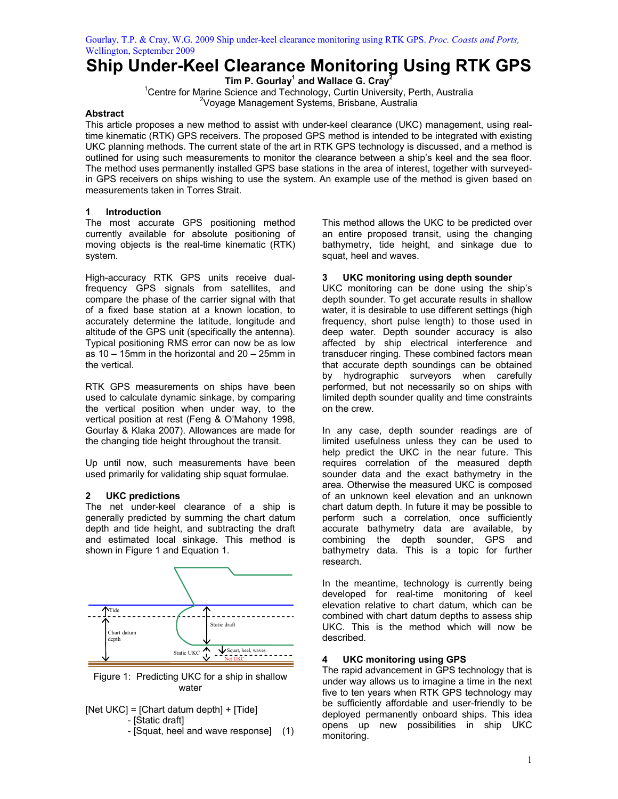# **Ship Under-Keel Clearance Monitoring Using RTK GPS**

**Tim P. Gourlay1 and Wallace G. Cray2**  <sup>1</sup> Centre for Marine Science and Technology, Curtin University, Perth, Australia Voyage Management Systems, Brisbane, Australia

## **Abstract**

This article proposes a new method to assist with under-keel clearance (UKC) management, using realtime kinematic (RTK) GPS receivers. The proposed GPS method is intended to be integrated with existing UKC planning methods. The current state of the art in RTK GPS technology is discussed, and a method is outlined for using such measurements to monitor the clearance between a ship's keel and the sea floor. The method uses permanently installed GPS base stations in the area of interest, together with surveyedin GPS receivers on ships wishing to use the system. An example use of the method is given based on measurements taken in Torres Strait.

# **1 Introduction**

The most accurate GPS positioning method currently available for absolute positioning of moving objects is the real-time kinematic (RTK) system.

High-accuracy RTK GPS units receive dualfrequency GPS signals from satellites, and compare the phase of the carrier signal with that of a fixed base station at a known location, to accurately determine the latitude, longitude and altitude of the GPS unit (specifically the antenna). Typical positioning RMS error can now be as low as 10 – 15mm in the horizontal and 20 – 25mm in the vertical.

RTK GPS measurements on ships have been used to calculate dynamic sinkage, by comparing the vertical position when under way, to the vertical position at rest (Feng & O'Mahony 1998, Gourlay & Klaka 2007). Allowances are made for the changing tide height throughout the transit.

Up until now, such measurements have been used primarily for validating ship squat formulae.

# **2 UKC predictions**

The net under-keel clearance of a ship is generally predicted by summing the chart datum depth and tide height, and subtracting the draft and estimated local sinkage. This method is shown in Figure 1 and Equation 1.



Figure 1: Predicting UKC for a ship in shallow water

- [Net UKC] = [Chart datum depth] + [Tide] - [Static draft]
	- [Squat, heel and wave response] (1)

This method allows the UKC to be predicted over an entire proposed transit, using the changing bathymetry, tide height, and sinkage due to squat, heel and waves.

## **3 UKC monitoring using depth sounder**

UKC monitoring can be done using the ship's depth sounder. To get accurate results in shallow water, it is desirable to use different settings (high frequency, short pulse length) to those used in deep water. Depth sounder accuracy is also affected by ship electrical interference and transducer ringing. These combined factors mean that accurate depth soundings can be obtained by hydrographic surveyors when carefully performed, but not necessarily so on ships with limited depth sounder quality and time constraints on the crew.

In any case, depth sounder readings are of limited usefulness unless they can be used to help predict the UKC in the near future. This requires correlation of the measured depth sounder data and the exact bathymetry in the area. Otherwise the measured UKC is composed of an unknown keel elevation and an unknown chart datum depth. In future it may be possible to perform such a correlation, once sufficiently accurate bathymetry data are available, by combining the depth sounder, GPS and bathymetry data. This is a topic for further research.

In the meantime, technology is currently being developed for real-time monitoring of keel elevation relative to chart datum, which can be combined with chart datum depths to assess ship UKC. This is the method which will now be described.

# **4 UKC monitoring using GPS**

The rapid advancement in GPS technology that is under way allows us to imagine a time in the next five to ten years when RTK GPS technology may be sufficiently affordable and user-friendly to be deployed permanently onboard ships. This idea opens up new possibilities in ship UKC monitoring.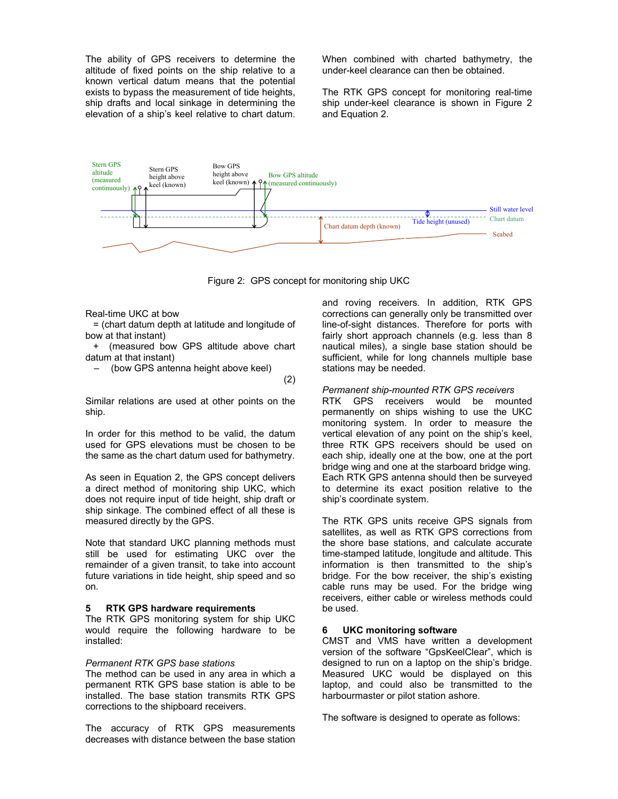The ability of GPS receivers to determine the altitude of fixed points on the ship relative to a known vertical datum means that the potential exists to bypass the measurement of tide heights, ship drafts and local sinkage in determining the elevation of a ship's keel relative to chart datum. When combined with charted bathymetry, the under-keel clearance can then be obtained.

The RTK GPS concept for monitoring real-time ship under-keel clearance is shown in Figure 2 and Equation 2.



Figure 2: GPS concept for monitoring ship UKC

#### Real-time UKC at bow

 = (chart datum depth at latitude and longitude of bow at that instant)

 + (measured bow GPS altitude above chart datum at that instant)

(bow GPS antenna height above keel)

(2)

Similar relations are used at other points on the ship.

In order for this method to be valid, the datum used for GPS elevations must be chosen to be the same as the chart datum used for bathymetry.

As seen in Equation 2, the GPS concept delivers a direct method of monitoring ship UKC, which does not require input of tide height, ship draft or ship sinkage. The combined effect of all these is measured directly by the GPS.

Note that standard UKC planning methods must still be used for estimating UKC over the remainder of a given transit, to take into account future variations in tide height, ship speed and so on.

#### **5 RTK GPS hardware requirements**

The RTK GPS monitoring system for ship UKC would require the following hardware to be installed:

#### *Permanent RTK GPS base stations*

The method can be used in any area in which a permanent RTK GPS base station is able to be installed. The base station transmits RTK GPS corrections to the shipboard receivers.

The accuracy of RTK GPS measurements decreases with distance between the base station and roving receivers. In addition, RTK GPS corrections can generally only be transmitted over line-of-sight distances. Therefore for ports with fairly short approach channels (e.g. less than 8 nautical miles), a single base station should be sufficient, while for long channels multiple base stations may be needed.

#### *Permanent ship-mounted RTK GPS receivers*

RTK GPS receivers would be mounted permanently on ships wishing to use the UKC monitoring system. In order to measure the vertical elevation of any point on the ship's keel, three RTK GPS receivers should be used on each ship, ideally one at the bow, one at the port bridge wing and one at the starboard bridge wing. Each RTK GPS antenna should then be surveyed to determine its exact position relative to the ship's coordinate system.

The RTK GPS units receive GPS signals from satellites, as well as RTK GPS corrections from the shore base stations, and calculate accurate time-stamped latitude, longitude and altitude. This information is then transmitted to the ship's bridge. For the bow receiver, the ship's existing cable runs may be used. For the bridge wing receivers, either cable or wireless methods could be used.

#### **6 UKC monitoring software**

CMST and VMS have written a development version of the software "GpsKeelClear", which is designed to run on a laptop on the ship's bridge. Measured UKC would be displayed on this laptop, and could also be transmitted to the harbourmaster or pilot station ashore.

The software is designed to operate as follows: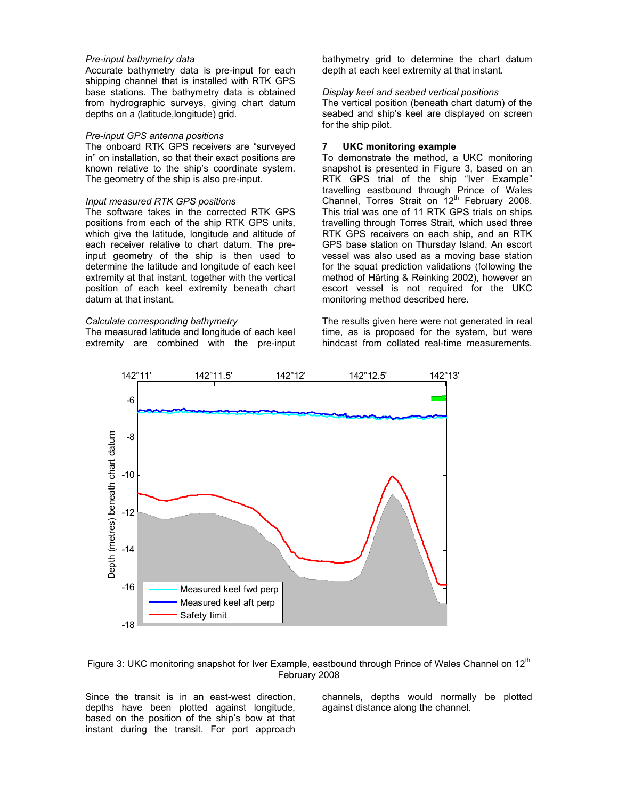#### *Pre-input bathymetry data*

Accurate bathymetry data is pre-input for each shipping channel that is installed with RTK GPS base stations. The bathymetry data is obtained from hydrographic surveys, giving chart datum depths on a (latitude,longitude) grid.

#### *Pre-input GPS antenna positions*

The onboard RTK GPS receivers are "surveyed in" on installation, so that their exact positions are known relative to the ship's coordinate system. The geometry of the ship is also pre-input.

#### *Input measured RTK GPS positions*

The software takes in the corrected RTK GPS positions from each of the ship RTK GPS units, which give the latitude, longitude and altitude of each receiver relative to chart datum. The preinput geometry of the ship is then used to determine the latitude and longitude of each keel extremity at that instant, together with the vertical position of each keel extremity beneath chart datum at that instant.

#### *Calculate corresponding bathymetry*

The measured latitude and longitude of each keel extremity are combined with the pre-input bathymetry grid to determine the chart datum depth at each keel extremity at that instant.

#### *Display keel and seabed vertical positions*

The vertical position (beneath chart datum) of the seabed and ship's keel are displayed on screen for the ship pilot.

#### **7 UKC monitoring example**

To demonstrate the method, a UKC monitoring snapshot is presented in Figure 3, based on an RTK GPS trial of the ship "Iver Example" travelling eastbound through Prince of Wales Channel, Torres Strait on 12<sup>th</sup> February 2008. This trial was one of 11 RTK GPS trials on ships travelling through Torres Strait, which used three RTK GPS receivers on each ship, and an RTK GPS base station on Thursday Island. An escort vessel was also used as a moving base station for the squat prediction validations (following the method of Härting & Reinking 2002), however an escort vessel is not required for the UKC monitoring method described here.

The results given here were not generated in real time, as is proposed for the system, but were hindcast from collated real-time measurements.





Since the transit is in an east-west direction, depths have been plotted against longitude, based on the position of the ship's bow at that instant during the transit. For port approach

channels, depths would normally be plotted against distance along the channel.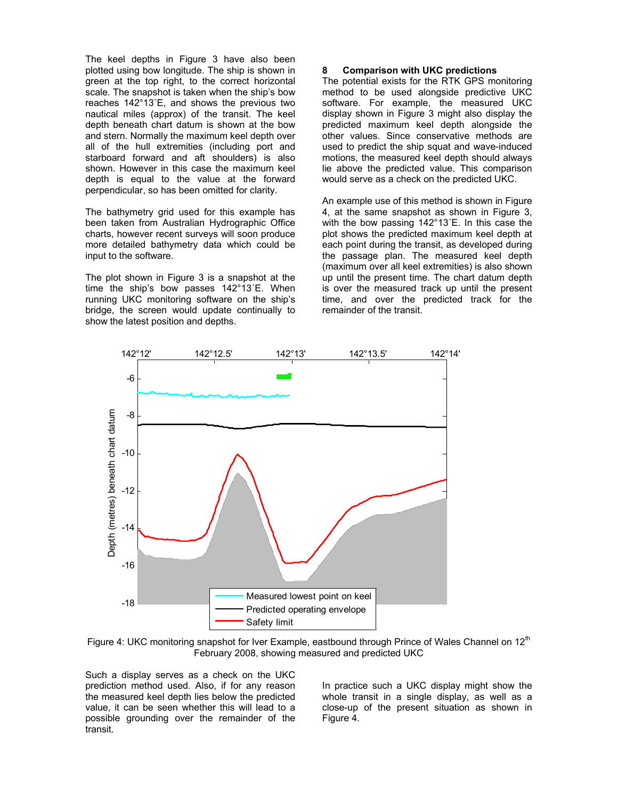The keel depths in Figure 3 have also been plotted using bow longitude. The ship is shown in green at the top right, to the correct horizontal scale. The snapshot is taken when the ship's bow reaches 142°13´E, and shows the previous two nautical miles (approx) of the transit. The keel depth beneath chart datum is shown at the bow and stern. Normally the maximum keel depth over all of the hull extremities (including port and starboard forward and aft shoulders) is also shown. However in this case the maximum keel depth is equal to the value at the forward perpendicular, so has been omitted for clarity.

The bathymetry grid used for this example has been taken from Australian Hydrographic Office charts, however recent surveys will soon produce more detailed bathymetry data which could be input to the software.

The plot shown in Figure 3 is a snapshot at the time the ship's bow passes 142°13´E. When running UKC monitoring software on the ship's bridge, the screen would update continually to show the latest position and depths.

#### **8 Comparison with UKC predictions**

The potential exists for the RTK GPS monitoring method to be used alongside predictive UKC software. For example, the measured UKC display shown in Figure 3 might also display the predicted maximum keel depth alongside the other values. Since conservative methods are used to predict the ship squat and wave-induced motions, the measured keel depth should always lie above the predicted value. This comparison would serve as a check on the predicted UKC.

An example use of this method is shown in Figure 4, at the same snapshot as shown in Figure 3, with the bow passing 142°13´E. In this case the plot shows the predicted maximum keel depth at each point during the transit, as developed during the passage plan. The measured keel depth (maximum over all keel extremities) is also shown up until the present time. The chart datum depth is over the measured track up until the present time, and over the predicted track for the remainder of the transit.



Figure 4: UKC monitoring snapshot for Iver Example, eastbound through Prince of Wales Channel on  $12^{\text{th}}$ February 2008, showing measured and predicted UKC

Such a display serves as a check on the UKC prediction method used. Also, if for any reason the measured keel depth lies below the predicted value, it can be seen whether this will lead to a possible grounding over the remainder of the transit.

In practice such a UKC display might show the whole transit in a single display, as well as a close-up of the present situation as shown in Figure 4.